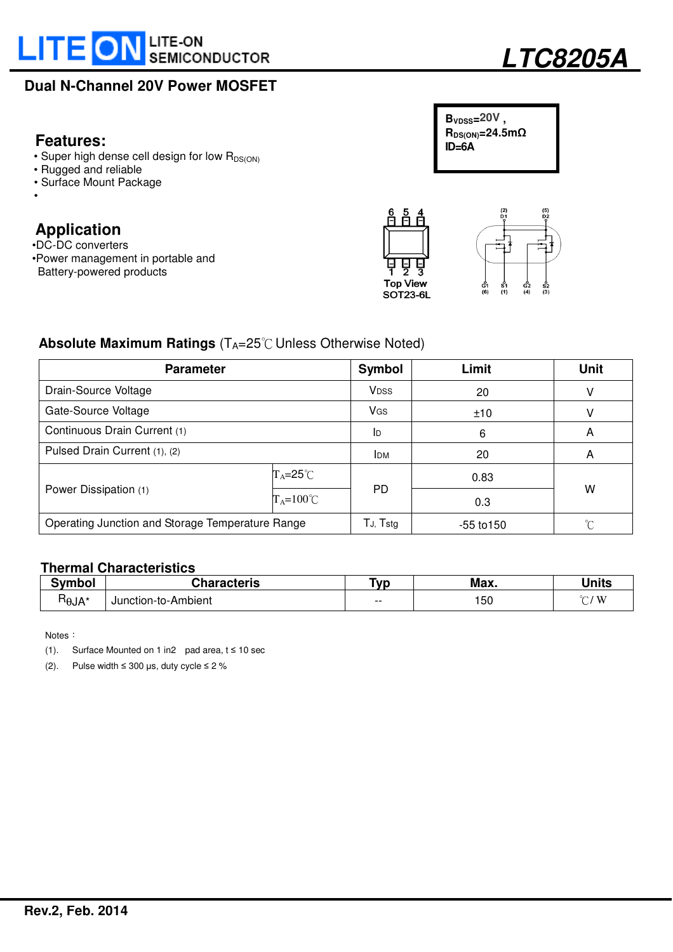



## **Features: ID=6A research <b>ID**=6A

- Super high dense cell design for low  $R_{DS(ON)}$
- Rugged and reliable
- Surface Mount Package
- •

# **Application**

- •DC-DC converters
- •Power management in portable and Battery-powered products



င်္ငံ2<br>(4)



## **Absolute Maximum Ratings** (T<sub>A</sub>=25℃ Unless Otherwise Noted)

| <b>Parameter</b>                                 |                           | Symbol                | Limit          | Unit |  |
|--------------------------------------------------|---------------------------|-----------------------|----------------|------|--|
| Drain-Source Voltage                             |                           | <b>VDSS</b>           | 20             | v    |  |
| Gate-Source Voltage                              |                           | <b>V<sub>GS</sub></b> | ±10            | v    |  |
| Continuous Drain Current (1)                     |                           | ID                    | 6              | A    |  |
| Pulsed Drain Current (1), (2)                    |                           | <b>IDM</b>            | 20             | A    |  |
|                                                  | $T_A = 25^\circ \text{C}$ |                       | 0.83           | W    |  |
| Power Dissipation (1)                            | $T_A = 100^{\circ}C$      | PD.                   | 0.3            |      |  |
| Operating Junction and Storage Temperature Range |                           | $T_{J}$ , $T_{stg}$   | $-55$ to $150$ | ∽    |  |

#### **Thermal Characteristics**

| Symbol                 | Characteris         | T <sub>VP</sub> | Max. | Units |
|------------------------|---------------------|-----------------|------|-------|
| -<br>$H_{\theta J}A^*$ | Junction-to-Ambient | $- -$           | 50   | `W    |

**Notes** 

(1). Surface Mounted on 1 in2 pad area,  $t \le 10$  sec

(2). Pulse width  $\leq 300$  µs, duty cycle  $\leq 2$  %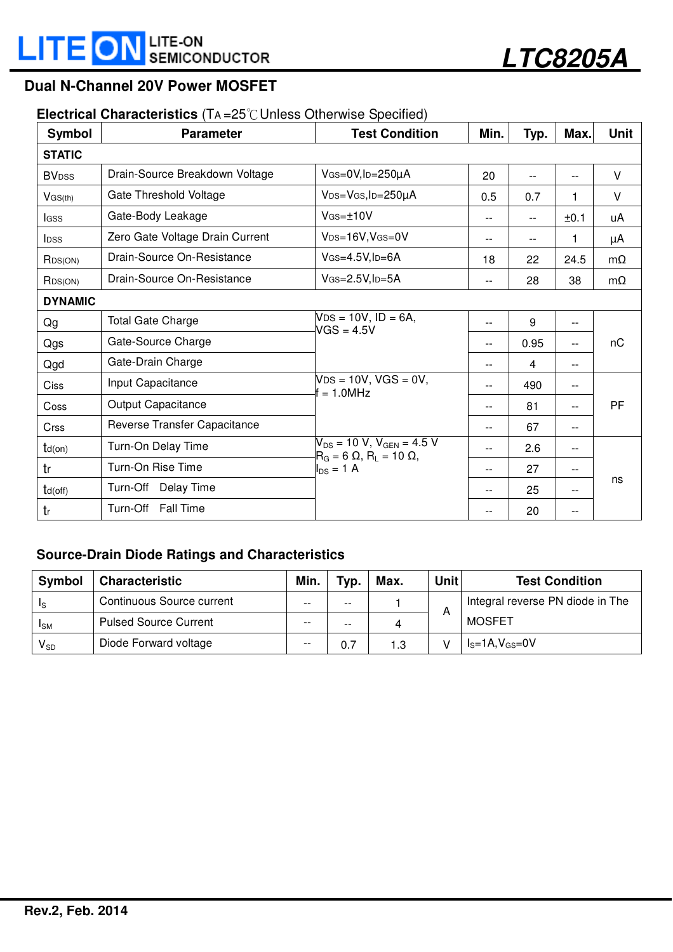

#### **Electrical Characteristics** (T<sup>A</sup> =25℃Unless Otherwise Specified)

| Symbol                   | <b>Parameter</b>                | <b>Test Condition</b>                                                               | Min.  | Typ.           | Max.  | <b>Unit</b> |  |  |  |  |
|--------------------------|---------------------------------|-------------------------------------------------------------------------------------|-------|----------------|-------|-------------|--|--|--|--|
| <b>STATIC</b>            |                                 |                                                                                     |       |                |       |             |  |  |  |  |
| <b>BV</b> <sub>DSS</sub> | Drain-Source Breakdown Voltage  | $V$ GS=0V, ID=250µA                                                                 | 20    | --             | --    | V           |  |  |  |  |
| VGS(th)                  | Gate Threshold Voltage          | V <sub>DS</sub> =V <sub>GS</sub> , I <sub>D</sub> =250µA                            | 0.5   | 0.7            | 1     | $\vee$      |  |  |  |  |
| <b>I</b> GSS             | Gate-Body Leakage               | $V$ <sub>GS=<math>±10V</math></sub>                                                 | $- -$ | $\overline{a}$ | ±0.1  | uA          |  |  |  |  |
| <b>I</b> DSS             | Zero Gate Voltage Drain Current | V <sub>DS=16V</sub> , V <sub>GS=0V</sub>                                            | $-$   | $- -$          | 1     | μA          |  |  |  |  |
| R <sub>DS(ON)</sub>      | Drain-Source On-Resistance      | $V$ GS=4.5V, ID=6A                                                                  | 18    | 22             | 24.5  | $m\Omega$   |  |  |  |  |
| R <sub>DS(ON)</sub>      | Drain-Source On-Resistance      | $V$ GS=2.5V, ID=5A                                                                  | $- -$ | 28             | 38    | $m\Omega$   |  |  |  |  |
| <b>DYNAMIC</b>           |                                 |                                                                                     |       |                |       |             |  |  |  |  |
| Qg                       | <b>Total Gate Charge</b>        | $VDS = 10V$ , $ID = 6A$ ,<br>$VGS = 4.5V$                                           | $-$   | 9              | $- -$ |             |  |  |  |  |
| Qgs                      | Gate-Source Charge              |                                                                                     | $-$   | 0.95           | --    | nC          |  |  |  |  |
| Qgd                      | Gate-Drain Charge               |                                                                                     | $-$   | $\overline{4}$ | --    |             |  |  |  |  |
| <b>Ciss</b>              | Input Capacitance               | $VDS = 10V$ , VGS = 0V,<br>$= 1.0$ MHz                                              | $-$   | 490            | $-$   |             |  |  |  |  |
| Coss                     | Output Capacitance              |                                                                                     | $-$   | 81             | --    | PF          |  |  |  |  |
| <b>Crss</b>              | Reverse Transfer Capacitance    |                                                                                     | $- -$ | 67             | --    |             |  |  |  |  |
| $td($ on $)$             | Turn-On Delay Time              | $V_{DS}$ = 10 V, V <sub>GEN</sub> = 4.5 V<br>$R_G = 6 \Omega$ , $R_I = 10 \Omega$ , | $-$   | 2.6            | --    |             |  |  |  |  |
| tr                       | Turn-On Rise Time               | $I_{DS}$ = 1 A                                                                      | $-$   | 27             | --    |             |  |  |  |  |
| $td($ off $)$            | Turn-Off Delay Time             |                                                                                     | $-$   | 25             | --    | ns          |  |  |  |  |
| tr                       | Turn-Off Fall Time              |                                                                                     | $-$   | 20             | $-$   |             |  |  |  |  |

#### **Source-Drain Diode Ratings and Characteristics**

| <b>Symbol</b>          | <b>Characteristic</b>        | Min.  | Typ.  | Max. | <b>Unit</b> | <b>Test Condition</b>            |
|------------------------|------------------------------|-------|-------|------|-------------|----------------------------------|
| Ιs                     | Continuous Source current    | $- -$ | $- -$ |      |             | Integral reverse PN diode in The |
| <b>I</b> <sub>SM</sub> | <b>Pulsed Source Current</b> | $- -$ | $- -$ | 4    | A           | <b>MOSFET</b>                    |
| $V_{SD}$               | Diode Forward voltage        | $- -$ | 0.7   | 1.3  |             | $IS=1A, VGS=0V$                  |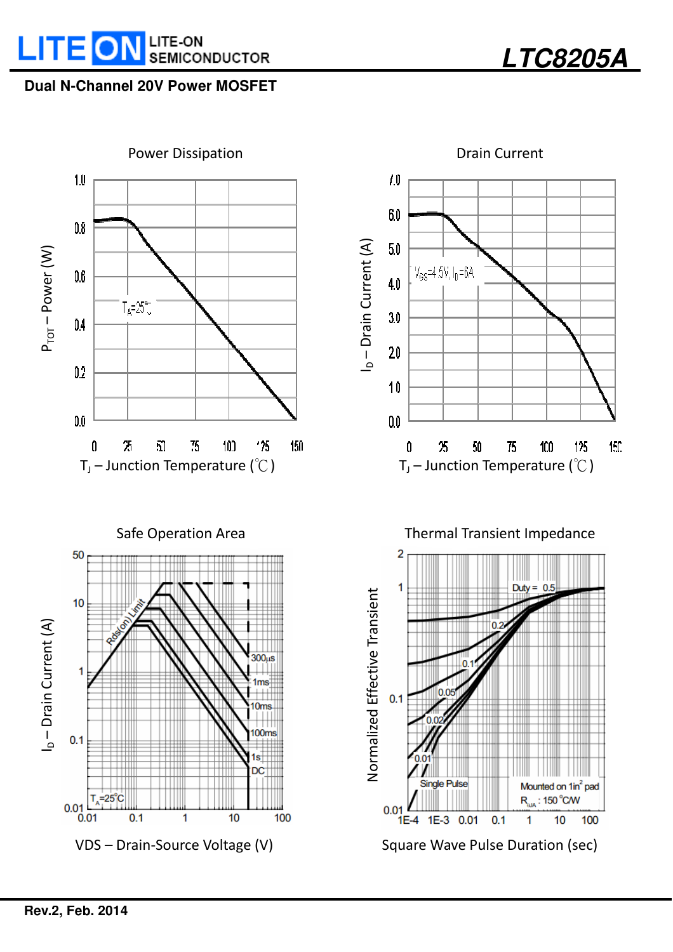



**LTC8205A**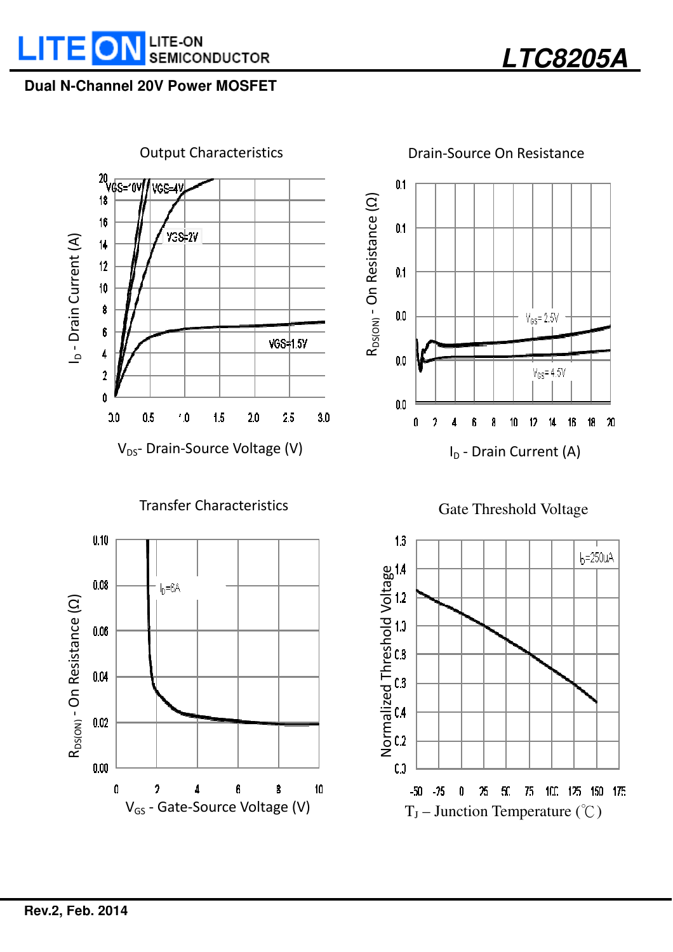



 $0.1$ R<sub>DS(ON)</sub> - On Resistance (Q) R<sub>DS(ON)</sub> - On Resistance (Ω)  $0.1$  $0.1$  $0.0$  $V_{\text{BS}}$  = 2.5V  $0.0$  $V_{GS}$ = 4.5V  $0.0$  $\hat{\mathbf{h}}$  $\bf 8$  $10$  $\overline{2}$  $\sqrt{2}$ 18  $20$  $\mathbf{0}$  $\overline{A}$  $11$ 16 I<sub>D</sub> - Drain Current (A)



**LTC8205A** 



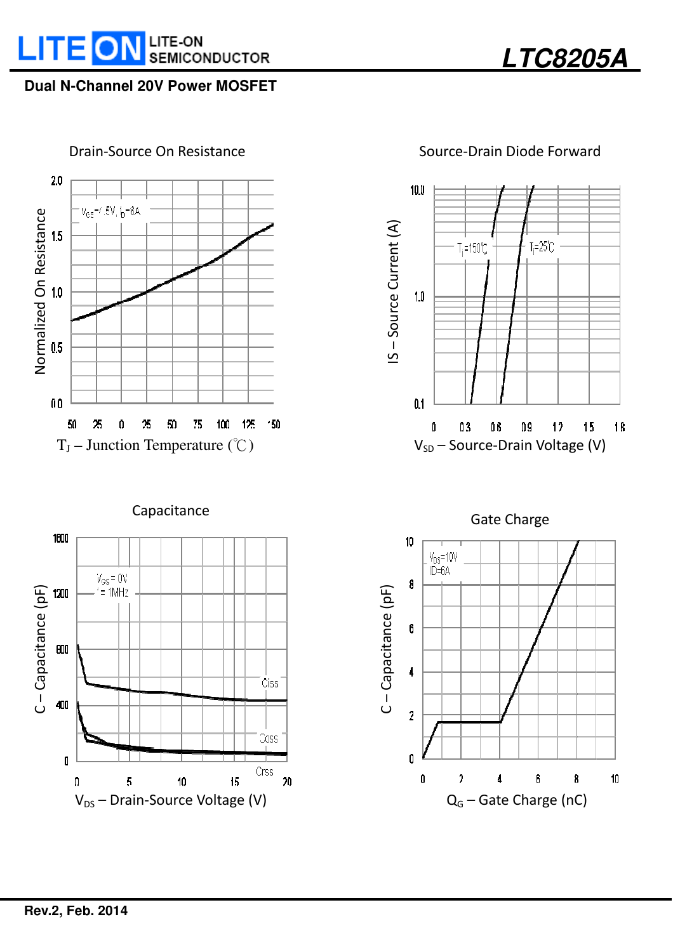





## Source-Drain Diode Forward

**LTC8205A** 



Capacitance



Gate Charge

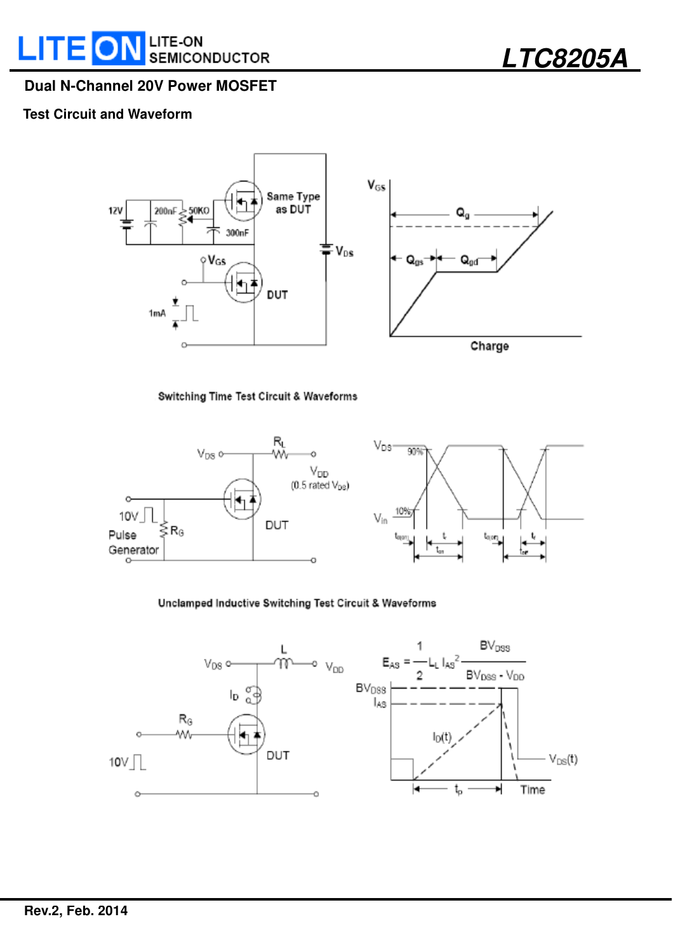**LTC8205A** 

### **Dual N-Channel 20V Power MOSFET**

#### **Test Circuit and Waveform**



Switching Time Test Circuit & Waveforms



#### Unclamped Inductive Switching Test Circuit & Waveforms

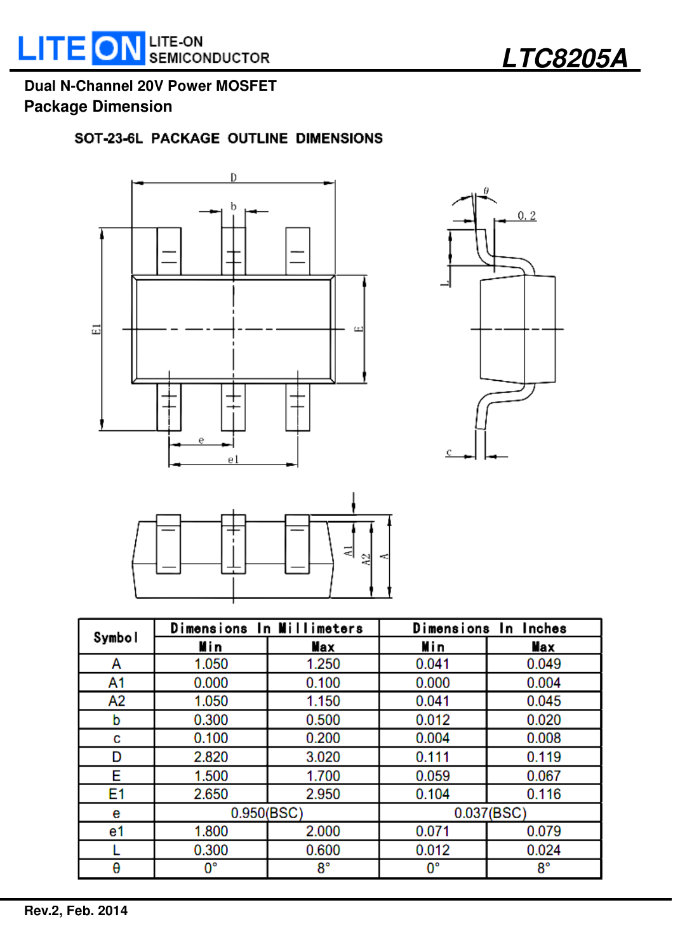**LTC8205A** 

# **Dual N-Channel 20V Power MOSFET Package Dimension**

## SOT-23-6L PACKAGE OUTLINE DIMENSIONS







|        | Dimensions In Millimeters |             | Dimensions In Inches |             |  |
|--------|---------------------------|-------------|----------------------|-------------|--|
| Symbol | Min                       | Max         | Min                  | Max         |  |
| А      | 1.050                     | 1.250       | 0.041                | 0.049       |  |
| A1     | 0.000                     | 0.100       | 0.000                | 0.004       |  |
| A2     | 1.050                     | 1.150       | 0.041                | 0.045       |  |
| b      | 0.300                     | 0.500       | 0.012                | 0.020       |  |
| c      | 0.100                     | 0.200       | 0.004                | 0.008       |  |
| D      | 2.820                     | 3.020       | 0.111                | 0.119       |  |
| Е      | 1.500                     | 1.700       | 0.059                | 0.067       |  |
| E1     | 2.650                     | 2.950       | 0.104                | 0.116       |  |
| е      | 0.950(BSC)                |             | 0.037(BSC)           |             |  |
| e1     | 1.800                     | 2.000       | 0.071                | 0.079       |  |
|        | 0.300                     | 0.600       | 0.012                | 0.024       |  |
| θ      | 0°                        | $8^{\circ}$ | $0^{\circ}$          | $8^{\circ}$ |  |